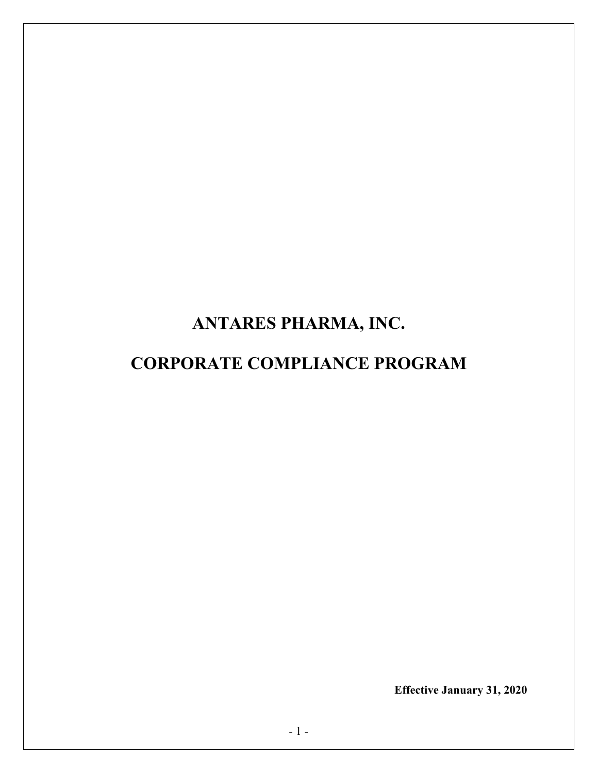# **ANTARES PHARMA, INC.**

# **CORPORATE COMPLIANCE PROGRAM**

**Effective January 31, 2020**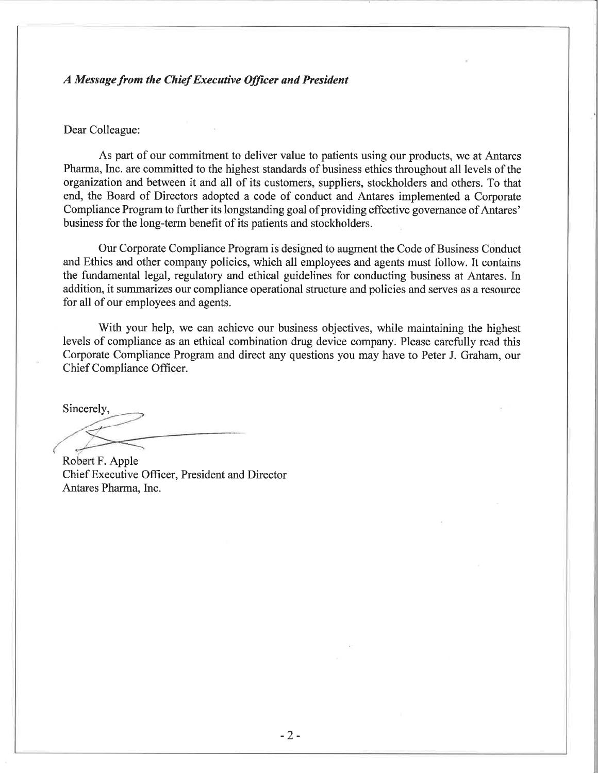#### A Message from the Chief Executive Officer and President

#### Dear Colleague:

As part of our commitment to deliver value to patients using our products, we at Antares Pharma, Inc. are committed to the highest standards of business ethics throughout all levels of the organization and between it and all of its customers, suppliers, stockholders and others. To that end, the Board of Directors adopted a code of conduct and Antares implemented a Corporate Compliance Program to further its longstanding goal of providing effective governance of Antares' business for the long-term benefit of its patients and stockholders.

Our Corporate Compliance Program is designed to augment the Code of Business Conduct and Ethics and other company policies, which all employees and agents must follow. It contains the fundamental legal, regulatory and ethical guidelines for conducting business at Antares. In addition, it summarizes our compliance operational structure and policies and serves as a resource for all of our employees and agents.

With your help, we can achieve our business objectives, while maintaining the highest levels of compliance as an ethical combination drug device company. Please carefully read this Corporate Compliance Program and direct any questions you may have to Peter J. Graham, our Chief Compliance Officer.

Sincerely,

Robert F. Apple Chief Executive Officer, President and Director Antares Pharma, Inc.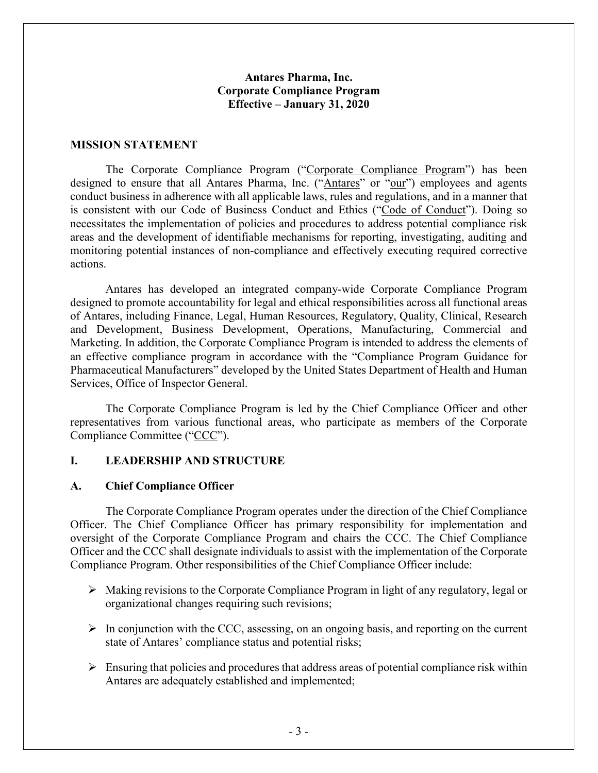## **Antares Pharma, Inc. Corporate Compliance Program Effective – January 31, 2020**

#### **MISSION STATEMENT**

The Corporate Compliance Program ("Corporate Compliance Program") has been designed to ensure that all Antares Pharma, Inc. ("Antares" or "our") employees and agents conduct business in adherence with all applicable laws, rules and regulations, and in a manner that is consistent with our Code of Business Conduct and Ethics ("Code of Conduct"). Doing so necessitates the implementation of policies and procedures to address potential compliance risk areas and the development of identifiable mechanisms for reporting, investigating, auditing and monitoring potential instances of non-compliance and effectively executing required corrective actions.

Antares has developed an integrated company-wide Corporate Compliance Program designed to promote accountability for legal and ethical responsibilities across all functional areas of Antares, including Finance, Legal, Human Resources, Regulatory, Quality, Clinical, Research and Development, Business Development, Operations, Manufacturing, Commercial and Marketing. In addition, the Corporate Compliance Program is intended to address the elements of an effective compliance program in accordance with the "Compliance Program Guidance for Pharmaceutical Manufacturers" developed by the United States Department of Health and Human Services, Office of Inspector General.

The Corporate Compliance Program is led by the Chief Compliance Officer and other representatives from various functional areas, who participate as members of the Corporate Compliance Committee ("CCC").

#### **I. LEADERSHIP AND STRUCTURE**

#### **A. Chief Compliance Officer**

The Corporate Compliance Program operates under the direction of the Chief Compliance Officer. The Chief Compliance Officer has primary responsibility for implementation and oversight of the Corporate Compliance Program and chairs the CCC. The Chief Compliance Officer and the CCC shall designate individuals to assist with the implementation of the Corporate Compliance Program. Other responsibilities of the Chief Compliance Officer include:

- $\triangleright$  Making revisions to the Corporate Compliance Program in light of any regulatory, legal or organizational changes requiring such revisions;
- $\triangleright$  In conjunction with the CCC, assessing, on an ongoing basis, and reporting on the current state of Antares' compliance status and potential risks;
- $\triangleright$  Ensuring that policies and procedures that address areas of potential compliance risk within Antares are adequately established and implemented;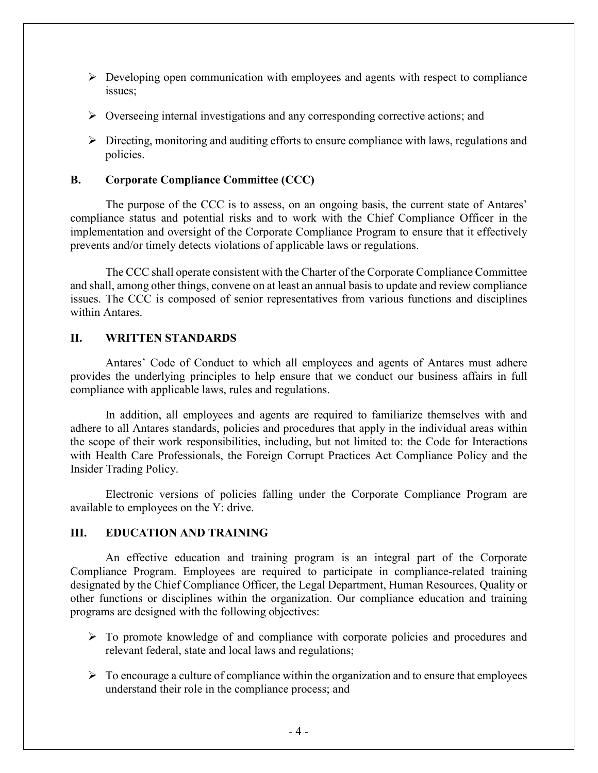- $\triangleright$  Developing open communication with employees and agents with respect to compliance issues;
- $\triangleright$  Overseeing internal investigations and any corresponding corrective actions; and
- $\triangleright$  Directing, monitoring and auditing efforts to ensure compliance with laws, regulations and policies.

## **B. Corporate Compliance Committee (CCC)**

The purpose of the CCC is to assess, on an ongoing basis, the current state of Antares' compliance status and potential risks and to work with the Chief Compliance Officer in the implementation and oversight of the Corporate Compliance Program to ensure that it effectively prevents and/or timely detects violations of applicable laws or regulations.

The CCC shall operate consistent with the Charter of the Corporate Compliance Committee and shall, among other things, convene on at least an annual basis to update and review compliance issues. The CCC is composed of senior representatives from various functions and disciplines within Antares.

#### **II. WRITTEN STANDARDS**

Antares' Code of Conduct to which all employees and agents of Antares must adhere provides the underlying principles to help ensure that we conduct our business affairs in full compliance with applicable laws, rules and regulations.

In addition, all employees and agents are required to familiarize themselves with and adhere to all Antares standards, policies and procedures that apply in the individual areas within the scope of their work responsibilities, including, but not limited to: the Code for Interactions with Health Care Professionals, the Foreign Corrupt Practices Act Compliance Policy and the Insider Trading Policy.

Electronic versions of policies falling under the Corporate Compliance Program are available to employees on the Y: drive.

# **III. EDUCATION AND TRAINING**

An effective education and training program is an integral part of the Corporate Compliance Program. Employees are required to participate in compliance-related training designated by the Chief Compliance Officer, the Legal Department, Human Resources, Quality or other functions or disciplines within the organization. Our compliance education and training programs are designed with the following objectives:

- $\triangleright$  To promote knowledge of and compliance with corporate policies and procedures and relevant federal, state and local laws and regulations;
- $\triangleright$  To encourage a culture of compliance within the organization and to ensure that employees understand their role in the compliance process; and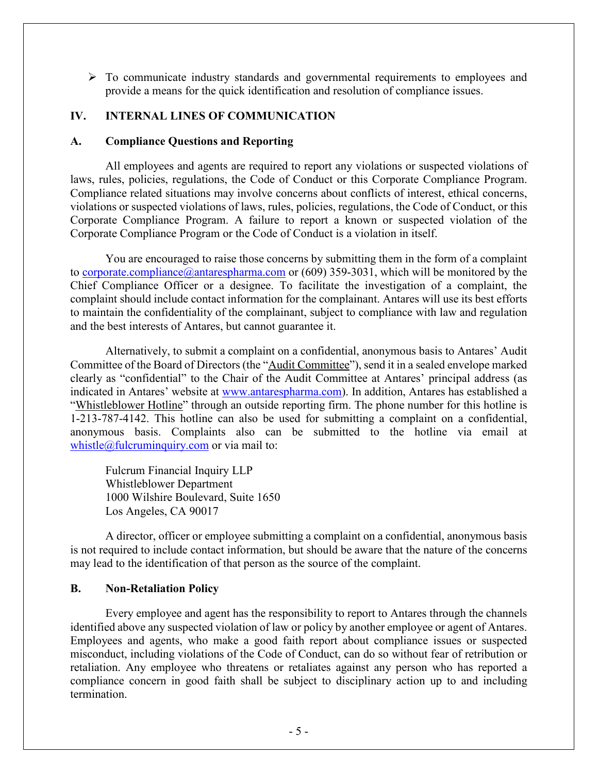$\triangleright$  To communicate industry standards and governmental requirements to employees and provide a means for the quick identification and resolution of compliance issues.

## **IV. INTERNAL LINES OF COMMUNICATION**

#### **A. Compliance Questions and Reporting**

All employees and agents are required to report any violations or suspected violations of laws, rules, policies, regulations, the Code of Conduct or this Corporate Compliance Program. Compliance related situations may involve concerns about conflicts of interest, ethical concerns, violations or suspected violations of laws, rules, policies, regulations, the Code of Conduct, or this Corporate Compliance Program. A failure to report a known or suspected violation of the Corporate Compliance Program or the Code of Conduct is a violation in itself.

You are encouraged to raise those concerns by submitting them in the form of a complaint to [corporate.compliance@antarespharma.com](mailto:corporate.compliance@antarespharma.com) or (609) 359-3031, which will be monitored by the Chief Compliance Officer or a designee. To facilitate the investigation of a complaint, the complaint should include contact information for the complainant. Antares will use its best efforts to maintain the confidentiality of the complainant, subject to compliance with law and regulation and the best interests of Antares, but cannot guarantee it.

Alternatively, to submit a complaint on a confidential, anonymous basis to Antares' Audit Committee of the Board of Directors (the "Audit Committee"), send it in a sealed envelope marked clearly as "confidential" to the Chair of the Audit Committee at Antares' principal address (as indicated in Antares' website at www.antarespharma.com). In addition, Antares has established a "Whistleblower Hotline" through an outside reporting firm. The phone number for this hotline is 1-213-787-4142. This hotline can also be used for submitting a complaint on a confidential, anonymous basis. Complaints also can be submitted to the hotline via email at whistle@fulcruminquiry.com or via mail to:

Fulcrum Financial Inquiry LLP Whistleblower Department 1000 Wilshire Boulevard, Suite 1650 Los Angeles, CA 90017

A director, officer or employee submitting a complaint on a confidential, anonymous basis is not required to include contact information, but should be aware that the nature of the concerns may lead to the identification of that person as the source of the complaint.

#### **B. Non-Retaliation Policy**

Every employee and agent has the responsibility to report to Antares through the channels identified above any suspected violation of law or policy by another employee or agent of Antares. Employees and agents, who make a good faith report about compliance issues or suspected misconduct, including violations of the Code of Conduct, can do so without fear of retribution or retaliation. Any employee who threatens or retaliates against any person who has reported a compliance concern in good faith shall be subject to disciplinary action up to and including termination.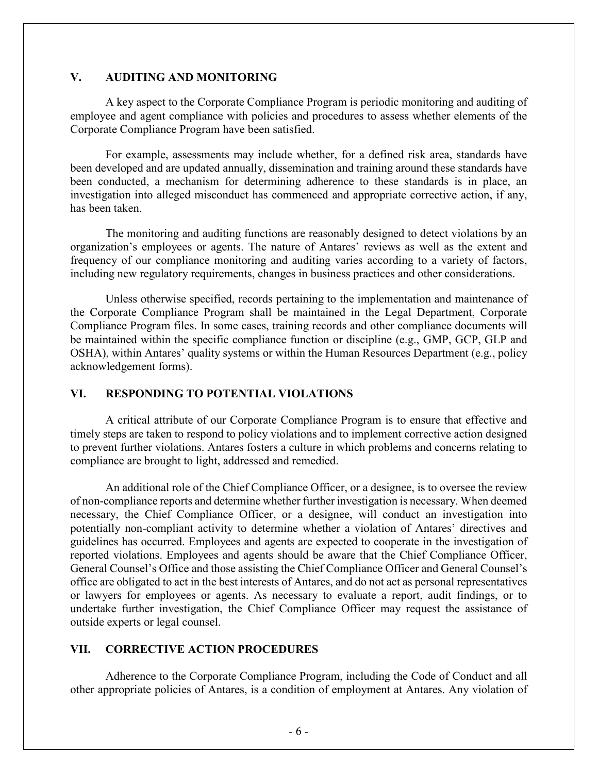### **V. AUDITING AND MONITORING**

A key aspect to the Corporate Compliance Program is periodic monitoring and auditing of employee and agent compliance with policies and procedures to assess whether elements of the Corporate Compliance Program have been satisfied.

For example, assessments may include whether, for a defined risk area, standards have been developed and are updated annually, dissemination and training around these standards have been conducted, a mechanism for determining adherence to these standards is in place, an investigation into alleged misconduct has commenced and appropriate corrective action, if any, has been taken.

The monitoring and auditing functions are reasonably designed to detect violations by an organization's employees or agents. The nature of Antares' reviews as well as the extent and frequency of our compliance monitoring and auditing varies according to a variety of factors, including new regulatory requirements, changes in business practices and other considerations.

Unless otherwise specified, records pertaining to the implementation and maintenance of the Corporate Compliance Program shall be maintained in the Legal Department, Corporate Compliance Program files. In some cases, training records and other compliance documents will be maintained within the specific compliance function or discipline (e.g., GMP, GCP, GLP and OSHA), within Antares' quality systems or within the Human Resources Department (e.g., policy acknowledgement forms).

# **VI. RESPONDING TO POTENTIAL VIOLATIONS**

A critical attribute of our Corporate Compliance Program is to ensure that effective and timely steps are taken to respond to policy violations and to implement corrective action designed to prevent further violations. Antares fosters a culture in which problems and concerns relating to compliance are brought to light, addressed and remedied.

An additional role of the Chief Compliance Officer, or a designee, is to oversee the review of non-compliance reports and determine whether further investigation is necessary. When deemed necessary, the Chief Compliance Officer, or a designee, will conduct an investigation into potentially non-compliant activity to determine whether a violation of Antares' directives and guidelines has occurred. Employees and agents are expected to cooperate in the investigation of reported violations. Employees and agents should be aware that the Chief Compliance Officer, General Counsel's Office and those assisting the Chief Compliance Officer and General Counsel's office are obligated to act in the best interests of Antares, and do not act as personal representatives or lawyers for employees or agents. As necessary to evaluate a report, audit findings, or to undertake further investigation, the Chief Compliance Officer may request the assistance of outside experts or legal counsel.

# **VII. CORRECTIVE ACTION PROCEDURES**

Adherence to the Corporate Compliance Program, including the Code of Conduct and all other appropriate policies of Antares, is a condition of employment at Antares. Any violation of